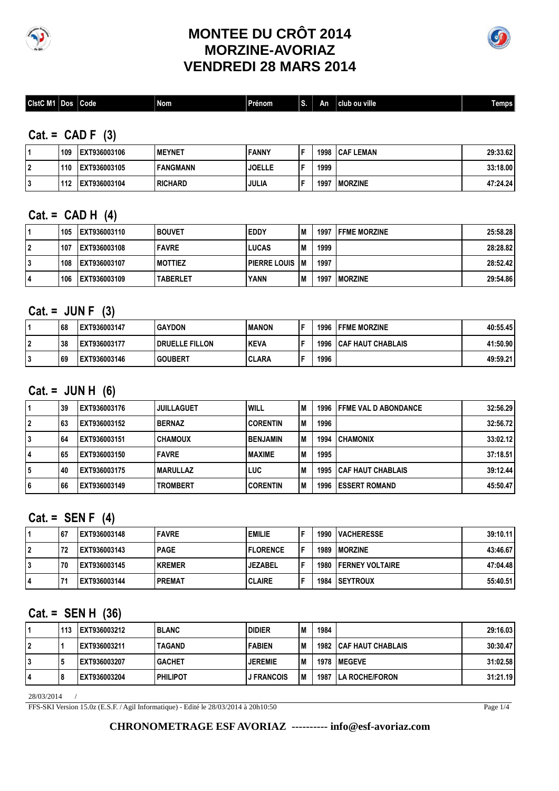

## **MONTEE DU CRÔT 2014 MORZINE-AVORIAZ VENDREDI 28 MARS 2014**



| <b>CistC M1</b><br>club ou ville<br>--<br>_<br>l Nom<br>. .<br> Code<br>Dos l<br>∣Prénom<br><b>Temps</b><br>١n<br>чoк. |
|------------------------------------------------------------------------------------------------------------------------|
|------------------------------------------------------------------------------------------------------------------------|

### **Cat. = CAD F (3)**

| 109 | EXT936003106 | <b>IMEYNET</b>   | <b>FANNY</b>  | - | 1998 | <b>ICAF LEMAN</b> | 29:33.62 |
|-----|--------------|------------------|---------------|---|------|-------------------|----------|
| 110 | EXT936003105 | IFANGMANN        | <b>JOELLE</b> |   | 1999 |                   | 33:18.00 |
| 112 | EXT936003104 | <b>I RICHARD</b> | <b>JULIA</b>  |   | 199  | <b>IMORZINE</b>   | 47:24.24 |

#### **Cat. = CAD H (4)**

|    | 105 | EXT936003110 | l BOUVET        | <b>EDDY</b>         | M  |      | <b>1997 IFFME MORZINE</b> | 25:58.28 |
|----|-----|--------------|-----------------|---------------------|----|------|---------------------------|----------|
| 2  | 107 | EXT936003108 | <b>FAVRE</b>    | <b>LUCAS</b>        | M  | 1999 |                           | 28:28.82 |
| 3  | 108 | EXT936003107 | <b>IMOTTIEZ</b> | <b>PIERRE LOUIS</b> | lМ | 1997 |                           | 28:52.42 |
| 14 | 106 | EXT936003109 | <b>TABERLET</b> | <b>YANN</b>         | M  | 1997 | <b>IMORZINE</b>           | 29:54.86 |

### **Cat. = JUN F (3)**

|              | 68 | EXT936003147 | <b>IGAYDON</b>          | <b>MANON</b> | - | 1996 | <b>IFFME MORZINE</b>           | 40:55.45 |
|--------------|----|--------------|-------------------------|--------------|---|------|--------------------------------|----------|
| ົ<br>▴       | 38 | EXT936003177 | <b>I DRUELLE FILLON</b> | <b>KEVA</b>  | Е |      | <b>1996 ICAF HAUT CHABLAIS</b> | 41:50.90 |
| $\cdot$<br>υ | 69 | EXT936003146 | <b>GOUBERT</b>          | <b>CLARA</b> | - | 1996 |                                | 49:59.21 |

## **Cat. = JUN H (6)**

|   | 39 | IEXT936003176 | <b>JUILLAGUET</b> | <b>WILL</b>     | M   |      | <b>1996 IFFME VAL D ABONDANCE</b> | 32:56.29 |
|---|----|---------------|-------------------|-----------------|-----|------|-----------------------------------|----------|
|   | 63 | lEXT936003152 | <b>BERNAZ</b>     | <b>CORENTIN</b> | l M | 1996 |                                   | 32:56.72 |
|   | 64 | lEXT936003151 | <b>CHAMOUX</b>    | <b>BENJAMIN</b> | l M | 1994 | <b>CHAMONIX</b>                   | 33:02.12 |
| 4 | 65 | EXT936003150  | <b>FAVRE</b>      | <b>IMAXIME</b>  | M   | 1995 |                                   | 37:18.51 |
| 5 | 40 | EXT936003175  | IMARULLAZ         | LUC             | M   | 1995 | <b>I CAF HAUT CHABLAIS</b>        | 39:12.44 |
| 6 | 66 | EXT936003149  | <b>TROMBERT</b>   | <b>CORENTIN</b> | l M | 1996 | <b>IESSERT ROMAND</b>             | 45:50.47 |

#### **Cat. = SEN F (4)**

|   | 167 | EXT936003148 | <b>FAVRE</b>  | <b>EMILIE</b>   |   | 1990 | <b>IVACHERESSE</b>           | 39:10.11 |
|---|-----|--------------|---------------|-----------------|---|------|------------------------------|----------|
| ົ | 72  | EXT936003143 | <b>PAGE</b>   | <b>FLORENCE</b> | Е |      | 1989   MORZINE               | 43:46.67 |
| J | 70  | EXT936003145 | <b>KREMER</b> | <b>JEZABEL</b>  | Е |      | <b>1980 IFERNEY VOLTAIRE</b> | 47:04.48 |
|   |     | EXT936003144 | <b>PREMAT</b> | <b>CLAIRE</b>   |   |      | <b>1984 ISEYTROUX</b>        | 55:40.51 |

#### **Cat. = SEN H (36)**

|    | 113 | EXT936003212 | <b>BLANC</b>      | <b>DIDIER</b>     | 'M  | 1984 |                                 | 29:16.03 |
|----|-----|--------------|-------------------|-------------------|-----|------|---------------------------------|----------|
| 2  |     | EXT936003211 | <b>TAGAND</b>     | <b>FABIEN</b>     | l M |      | <b>1982 I CAF HAUT CHABLAIS</b> | 30:30.47 |
| 3  |     | EXT936003207 | <b>IGACHET</b>    | <b>JEREMIE</b>    | M   | 1978 | <b>IMEGEVE</b>                  | 31:02.58 |
| 14 |     | EXT936003204 | <b>I PHILIPOT</b> | <b>J FRANCOIS</b> | lм  |      | <b>1987 ILA ROCHE/FORON</b>     | 31:21.19 |

28/03/2014 /

FFS-SKI Version 15.0z (E.S.F. / Agil Informatique) - Edité le 28/03/2014 à 20h10:50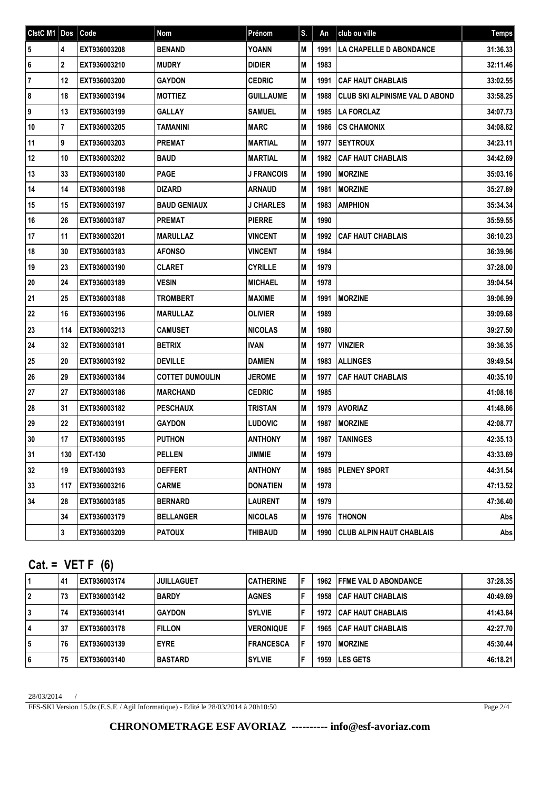| CistC M1 Dos   |              | Code           | Nom                    | Prénom            | S. | An   | club ou ville                         | <b>Temps</b> |
|----------------|--------------|----------------|------------------------|-------------------|----|------|---------------------------------------|--------------|
| 5              | 4            | EXT936003208   | <b>BENAND</b>          | <b>YOANN</b>      | M  | 1991 | LA CHAPELLE D ABONDANCE               | 31:36.33     |
| 6              | 2            | EXT936003210   | <b>MUDRY</b>           | <b>DIDIER</b>     | M  | 1983 |                                       | 32:11.46     |
| $\overline{7}$ | 12           | EXT936003200   | <b>GAYDON</b>          | <b>CEDRIC</b>     | М  | 1991 | <b>CAF HAUT CHABLAIS</b>              | 33:02.55     |
| 8              | 18           | EXT936003194   | <b>MOTTIEZ</b>         | <b>GUILLAUME</b>  | M  | 1988 | <b>CLUB SKI ALPINISME VAL D ABOND</b> | 33:58.25     |
| 9              | 13           | EXT936003199   | <b>GALLAY</b>          | <b>SAMUEL</b>     | M  | 1985 | <b>LA FORCLAZ</b>                     | 34:07.73     |
| 10             | $\mathbf{7}$ | EXT936003205   | TAMANINI               | MARC              | M  | 1986 | <b>CS CHAMONIX</b>                    | 34:08.82     |
| 11             | 9            | EXT936003203   | <b>PREMAT</b>          | <b>MARTIAL</b>    | M  | 1977 | <b>SEYTROUX</b>                       | 34:23.11     |
| 12             | 10           | EXT936003202   | <b>BAUD</b>            | <b>MARTIAL</b>    | M  | 1982 | <b>CAF HAUT CHABLAIS</b>              | 34:42.69     |
| 13             | 33           | EXT936003180   | <b>PAGE</b>            | <b>J FRANCOIS</b> | M  | 1990 | <b>MORZINE</b>                        | 35:03.16     |
| 14             | 14           | EXT936003198   | <b>DIZARD</b>          | <b>ARNAUD</b>     | M  | 1981 | <b>MORZINE</b>                        | 35:27.89     |
| 15             | 15           | EXT936003197   | <b>BAUD GENIAUX</b>    | <b>J CHARLES</b>  | M  | 1983 | <b>AMPHION</b>                        | 35:34.34     |
| 16             | 26           | EXT936003187   | <b>PREMAT</b>          | <b>PIERRE</b>     | M  | 1990 |                                       | 35:59.55     |
| 17             | 11           | EXT936003201   | <b>MARULLAZ</b>        | <b>VINCENT</b>    | M  | 1992 | <b>CAF HAUT CHABLAIS</b>              | 36:10.23     |
| 18             | 30           | EXT936003183   | <b>AFONSO</b>          | <b>VINCENT</b>    | M  | 1984 |                                       | 36:39.96     |
| 19             | 23           | EXT936003190   | <b>CLARET</b>          | <b>CYRILLE</b>    | M  | 1979 |                                       | 37:28.00     |
| 20             | 24           | EXT936003189   | <b>VESIN</b>           | <b>MICHAEL</b>    | M  | 1978 |                                       | 39:04.54     |
| 21             | 25           | EXT936003188   | <b>TROMBERT</b>        | <b>MAXIME</b>     | M  | 1991 | <b>MORZINE</b>                        | 39:06.99     |
| 22             | 16           | EXT936003196   | <b>MARULLAZ</b>        | <b>OLIVIER</b>    | M  | 1989 |                                       | 39:09.68     |
| 23             | 114          | EXT936003213   | <b>CAMUSET</b>         | <b>NICOLAS</b>    | M  | 1980 |                                       | 39:27.50     |
| 24             | 32           | EXT936003181   | <b>BETRIX</b>          | <b>IVAN</b>       | M  | 1977 | <b>VINZIER</b>                        | 39:36.35     |
| 25             | 20           | EXT936003192   | <b>DEVILLE</b>         | <b>DAMIEN</b>     | M  | 1983 | <b>ALLINGES</b>                       | 39:49.54     |
| 26             | 29           | EXT936003184   | <b>COTTET DUMOULIN</b> | <b>JEROME</b>     | M  | 1977 | <b>CAF HAUT CHABLAIS</b>              | 40:35.10     |
| 27             | 27           | EXT936003186   | <b>MARCHAND</b>        | <b>CEDRIC</b>     | M  | 1985 |                                       | 41:08.16     |
| 28             | 31           | EXT936003182   | <b>PESCHAUX</b>        | <b>TRISTAN</b>    | M  | 1979 | <b>AVORIAZ</b>                        | 41:48.86     |
| 29             | 22           | EXT936003191   | <b>GAYDON</b>          | <b>LUDOVIC</b>    | M  | 1987 | <b>MORZINE</b>                        | 42:08.77     |
| 30             | 17           | EXT936003195   | <b>PUTHON</b>          | <b>ANTHONY</b>    | M  | 1987 | <b>TANINGES</b>                       | 42:35.13     |
| 31             | 130          | <b>EXT-130</b> | <b>PELLEN</b>          | <b>JIMMIE</b>     | M  | 1979 |                                       | 43:33.69     |
| 32             | 19           | EXT936003193   | <b>DEFFERT</b>         | <b>ANTHONY</b>    | M  | 1985 | <b>PLENEY SPORT</b>                   | 44:31.54     |
| 33             | 117          | EXT936003216   | <b>CARME</b>           | <b>DONATIEN</b>   | M  | 1978 |                                       | 47:13.52     |
| 34             | 28           | EXT936003185   | <b>BERNARD</b>         | <b>LAURENT</b>    | M  | 1979 |                                       | 47:36.40     |
|                | 34           | EXT936003179   | <b>BELLANGER</b>       | <b>NICOLAS</b>    | M  | 1976 | <b>THONON</b>                         | Abs          |
|                | $\mathbf{3}$ | EXT936003209   | <b>PATOUX</b>          | <b>THIBAUD</b>    | M  | 1990 | <b>CLUB ALPIN HAUT CHABLAIS</b>       | Abs          |

## **Cat. = VET F (6)**

|          | 41 | EXT936003174 | <b>JUILLAGUET</b> | <b>CATHERINE</b> | F |      | <b>1962 IFFME VAL D ABONDANCE</b> | 37:28.35 |
|----------|----|--------------|-------------------|------------------|---|------|-----------------------------------|----------|
| 2        | 73 | EXT936003142 | <b>IBARDY</b>     | <b>AGNES</b>     | F |      | <b>1958 ICAF HAUT CHABLAIS</b>    | 40:49.69 |
| 3        | 74 | EXT936003141 | l GAYDON          | <b>SYLVIE</b>    | F |      | <b>1972 ICAF HAUT CHABLAIS</b>    | 41:43.84 |
| 14       | 37 | EXT936003178 | <b>FILLON</b>     | <b>VERONIQUE</b> | F |      | <b>1965 ICAF HAUT CHABLAIS</b>    | 42:27.70 |
| 5        | 76 | EXT936003139 | <b>IEYRE</b>      | <b>FRANCESCA</b> | F | 1970 | <b>IMORZINE</b>                   | 45:30.44 |
| <b>6</b> | 75 | EXT936003140 | IBASTARD          | <b>SYLVIE</b>    | F |      | 1959 ILES GETS                    | 46:18.21 |

28/03/2014 /

FFS-SKI Version 15.0z (E.S.F. / Agil Informatique) - Edité le 28/03/2014 à 20h10:50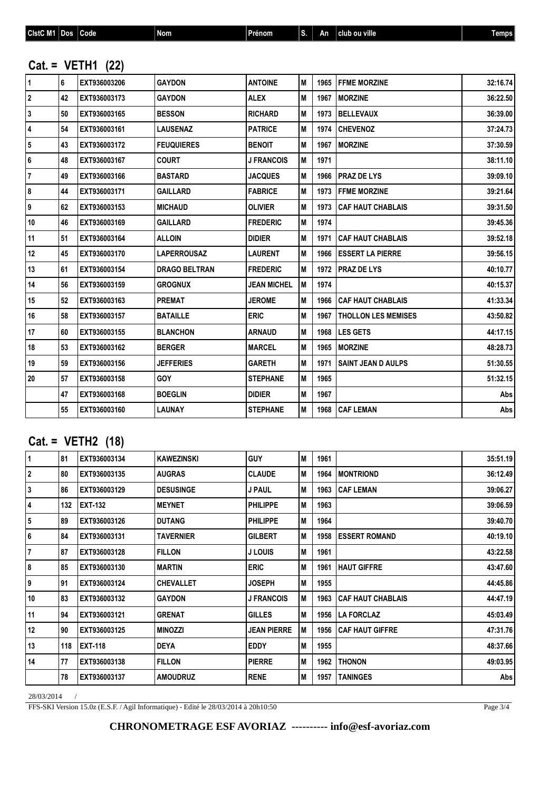| CistC M1 Dos            |    | Code               | <b>Nom</b>           | Prénom             | S. | An   | club ou ville              | <b>Temps</b> |
|-------------------------|----|--------------------|----------------------|--------------------|----|------|----------------------------|--------------|
|                         |    | $Cat = VETH1 (22)$ |                      |                    |    |      |                            |              |
| $\mathbf{1}$            | 6  | EXT936003206       | <b>GAYDON</b>        | <b>ANTOINE</b>     | M  | 1965 | <b>FFME MORZINE</b>        | 32:16.74     |
| $\overline{2}$          | 42 | EXT936003173       | <b>GAYDON</b>        | <b>ALEX</b>        | M  | 1967 | <b>MORZINE</b>             | 36:22.50     |
| 3                       | 50 | EXT936003165       | <b>BESSON</b>        | <b>RICHARD</b>     | M  | 1973 | <b>BELLEVAUX</b>           | 36:39.00     |
| 4                       | 54 | EXT936003161       | <b>LAUSENAZ</b>      | <b>PATRICE</b>     | M  | 1974 | <b>CHEVENOZ</b>            | 37:24.73     |
| $\overline{\mathbf{5}}$ | 43 | EXT936003172       | <b>FEUQUIERES</b>    | <b>BENOIT</b>      | M  | 1967 | <b>MORZINE</b>             | 37:30.59     |
| 6                       | 48 | EXT936003167       | <b>COURT</b>         | <b>J FRANCOIS</b>  | M  | 1971 |                            | 38:11.10     |
| $\overline{7}$          | 49 | EXT936003166       | <b>BASTARD</b>       | <b>JACQUES</b>     | M  | 1966 | <b>I PRAZ DE LYS</b>       | 39:09.10     |
| $\pmb{8}$               | 44 | EXT936003171       | <b>GAILLARD</b>      | <b>FABRICE</b>     | M  | 1973 | <b>FFME MORZINE</b>        | 39:21.64     |
| $\pmb{9}$               | 62 | EXT936003153       | <b>MICHAUD</b>       | <b>OLIVIER</b>     | M  | 1973 | <b>CAF HAUT CHABLAIS</b>   | 39:31.50     |
| $10$                    | 46 | EXT936003169       | <b>GAILLARD</b>      | <b>FREDERIC</b>    | M  | 1974 |                            | 39:45.36     |
| 11                      | 51 | EXT936003164       | <b>ALLOIN</b>        | <b>DIDIER</b>      | M  | 1971 | <b>CAF HAUT CHABLAIS</b>   | 39:52.18     |
| 12                      | 45 | EXT936003170       | <b>LAPERROUSAZ</b>   | <b>LAURENT</b>     | M  | 1966 | <b>ESSERT LA PIERRE</b>    | 39:56.15     |
| 13                      | 61 | EXT936003154       | <b>DRAGO BELTRAN</b> | <b>FREDERIC</b>    | M  | 1972 | <b>PRAZ DE LYS</b>         | 40:10.77     |
| 14                      | 56 | EXT936003159       | <b>GROGNUX</b>       | <b>JEAN MICHEL</b> | Iм | 1974 |                            | 40:15.37     |
| 15                      | 52 | EXT936003163       | <b>PREMAT</b>        | <b>JEROME</b>      | M  | 1966 | <b>CAF HAUT CHABLAIS</b>   | 41:33.34     |
| 16                      | 58 | EXT936003157       | <b>BATAILLE</b>      | <b>ERIC</b>        | M  | 1967 | <b>THOLLON LES MEMISES</b> | 43:50.82     |
| 17                      | 60 | EXT936003155       | <b>BLANCHON</b>      | <b>ARNAUD</b>      | M  | 1968 | <b>LES GETS</b>            | 44:17.15     |
| 18                      | 53 | EXT936003162       | <b>BERGER</b>        | <b>MARCEL</b>      | IМ | 1965 | <b>MORZINE</b>             | 48:28.73     |
| 19                      | 59 | EXT936003156       | <b>JEFFERIES</b>     | <b>GARETH</b>      | M  | 1971 | <b>SAINT JEAN D AULPS</b>  | 51:30.55     |
| 20                      | 57 | EXT936003158       | <b>GOY</b>           | <b>STEPHANE</b>    | M  | 1965 |                            | 51:32.15     |
|                         | 47 | EXT936003168       | <b>BOEGLIN</b>       | <b>DIDIER</b>      | M  | 1967 |                            | <b>Abs</b>   |

# **Cat. = VETH2 (18)**

| $\mathbf{1}$            | 81  | EXT936003134   | <b>KAWEZINSKI</b> | <b>GUY</b>         | M | 1961 |                          | 35:51.19 |
|-------------------------|-----|----------------|-------------------|--------------------|---|------|--------------------------|----------|
| $\overline{2}$          | 80  | EXT936003135   | <b>AUGRAS</b>     | <b>CLAUDE</b>      | M | 1964 | <b>MONTRIOND</b>         | 36:12.49 |
| 3                       | 86  | EXT936003129   | <b>DESUSINGE</b>  | <b>J PAUL</b>      | M | 1963 | <b>CAF LEMAN</b>         | 39:06.27 |
| 4                       | 132 | <b>EXT-132</b> | <b>MEYNET</b>     | <b>PHILIPPE</b>    | M | 1963 |                          | 39:06.59 |
| $\overline{\mathbf{5}}$ | 89  | EXT936003126   | <b>DUTANG</b>     | <b>PHILIPPE</b>    | M | 1964 |                          | 39:40.70 |
| 6                       | 84  | EXT936003131   | TAVERNIER         | <b>GILBERT</b>     | M | 1958 | <b>ESSERT ROMAND</b>     | 40:19.10 |
| $\overline{7}$          | 87  | EXT936003128   | <b>FILLON</b>     | J LOUIS            | M | 1961 |                          | 43:22.58 |
| 8                       | 85  | EXT936003130   | <b>MARTIN</b>     | <b>ERIC</b>        | M | 1961 | <b>HAUT GIFFRE</b>       | 43:47.60 |
| 9                       | 91  | EXT936003124   | <b>CHEVALLET</b>  | <b>JOSEPH</b>      | M | 1955 |                          | 44:45.86 |
| 10                      | 83  | EXT936003132   | <b>GAYDON</b>     | <b>J FRANCOIS</b>  | M | 1963 | <b>CAF HAUT CHABLAIS</b> | 44:47.19 |
| 11                      | 94  | EXT936003121   | <b>GRENAT</b>     | <b>GILLES</b>      | M | 1956 | <b>LA FORCLAZ</b>        | 45:03.49 |
| 12                      | 90  | EXT936003125   | <b>MINOZZI</b>    | <b>JEAN PIERRE</b> | M | 1956 | <b>CAF HAUT GIFFRE</b>   | 47:31.76 |
| 13                      | 118 | <b>EXT-118</b> | <b>DEYA</b>       | <b>EDDY</b>        | M | 1955 |                          | 48:37.66 |
| 14                      | 77  | EXT936003138   | <b>FILLON</b>     | <b>PIERRE</b>      | M | 1962 | <b>THONON</b>            | 49:03.95 |
|                         | 78  | EXT936003137   | <b>AMOUDRUZ</b>   | <b>RENE</b>        | M | 1957 | <b>TANINGES</b>          | Abs      |

**EXT936003160 LAUNAY STEPHANE M 1968 CAF LEMAN Abs**

28/03/2014 /

FFS-SKI Version 15.0z (E.S.F. / Agil Informatique) - Edité le 28/03/2014 à 20h10:50

Page  $3/4$ 

#### **CHRONOMETRAGE ESF AVORIAZ ---------- info@esf-avoriaz.com**